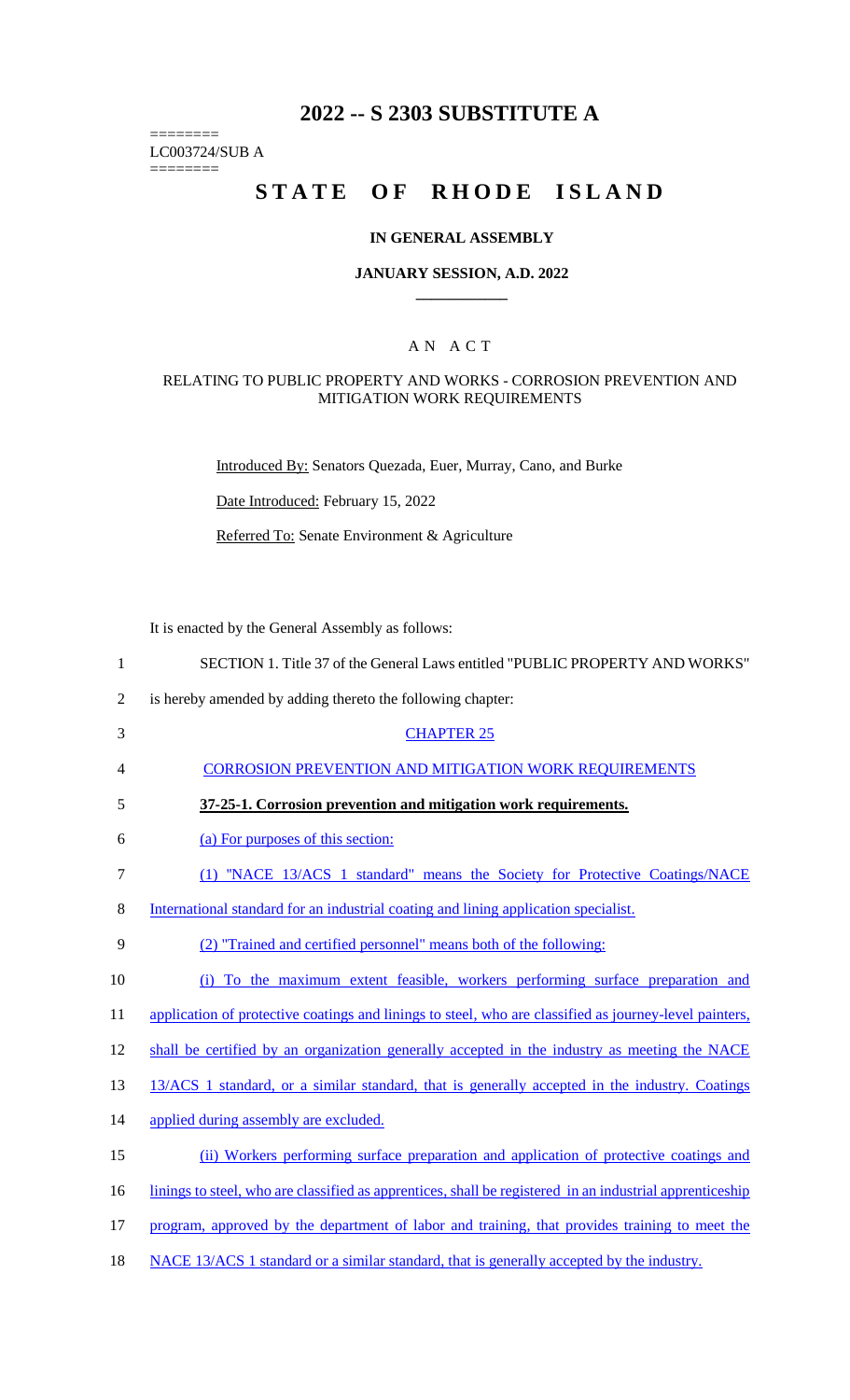## **2022 -- S 2303 SUBSTITUTE A**

LC003724/SUB A

========

========

# **STATE OF RHODE ISLAND**

#### **IN GENERAL ASSEMBLY**

#### **JANUARY SESSION, A.D. 2022 \_\_\_\_\_\_\_\_\_\_\_\_**

## A N A C T

### RELATING TO PUBLIC PROPERTY AND WORKS - CORROSION PREVENTION AND MITIGATION WORK REQUIREMENTS

Introduced By: Senators Quezada, Euer, Murray, Cano, and Burke

Date Introduced: February 15, 2022

Referred To: Senate Environment & Agriculture

It is enacted by the General Assembly as follows:

| $\mathbf{1}$   | SECTION 1. Title 37 of the General Laws entitled "PUBLIC PROPERTY AND WORKS"                             |
|----------------|----------------------------------------------------------------------------------------------------------|
| $\overline{2}$ | is hereby amended by adding thereto the following chapter:                                               |
| 3              | <b>CHAPTER 25</b>                                                                                        |
| 4              | <b>CORROSION PREVENTION AND MITIGATION WORK REQUIREMENTS</b>                                             |
| 5              | 37-25-1. Corrosion prevention and mitigation work requirements.                                          |
| 6              | (a) For purposes of this section:                                                                        |
| 7              | (1) "NACE 13/ACS 1 standard" means the Society for Protective Coatings/NACE                              |
| 8              | International standard for an industrial coating and lining application specialist.                      |
| 9              | (2) "Trained and certified personnel" means both of the following:                                       |
| 10             | (i) To the maximum extent feasible, workers performing surface preparation and                           |
| 11             | application of protective coatings and linings to steel, who are classified as journey-level painters,   |
| 12             | shall be certified by an organization generally accepted in the industry as meeting the NACE             |
| 13             | 13/ACS 1 standard, or a similar standard, that is generally accepted in the industry. Coatings           |
| 14             | applied during assembly are excluded.                                                                    |
| 15             | (ii) Workers performing surface preparation and application of protective coatings and                   |
| 16             | linings to steel, who are classified as apprentices, shall be registered in an industrial apprenticeship |
| 17             | program, approved by the department of labor and training, that provides training to meet the            |
|                |                                                                                                          |

18 NACE 13/ACS 1 standard or a similar standard, that is generally accepted by the industry.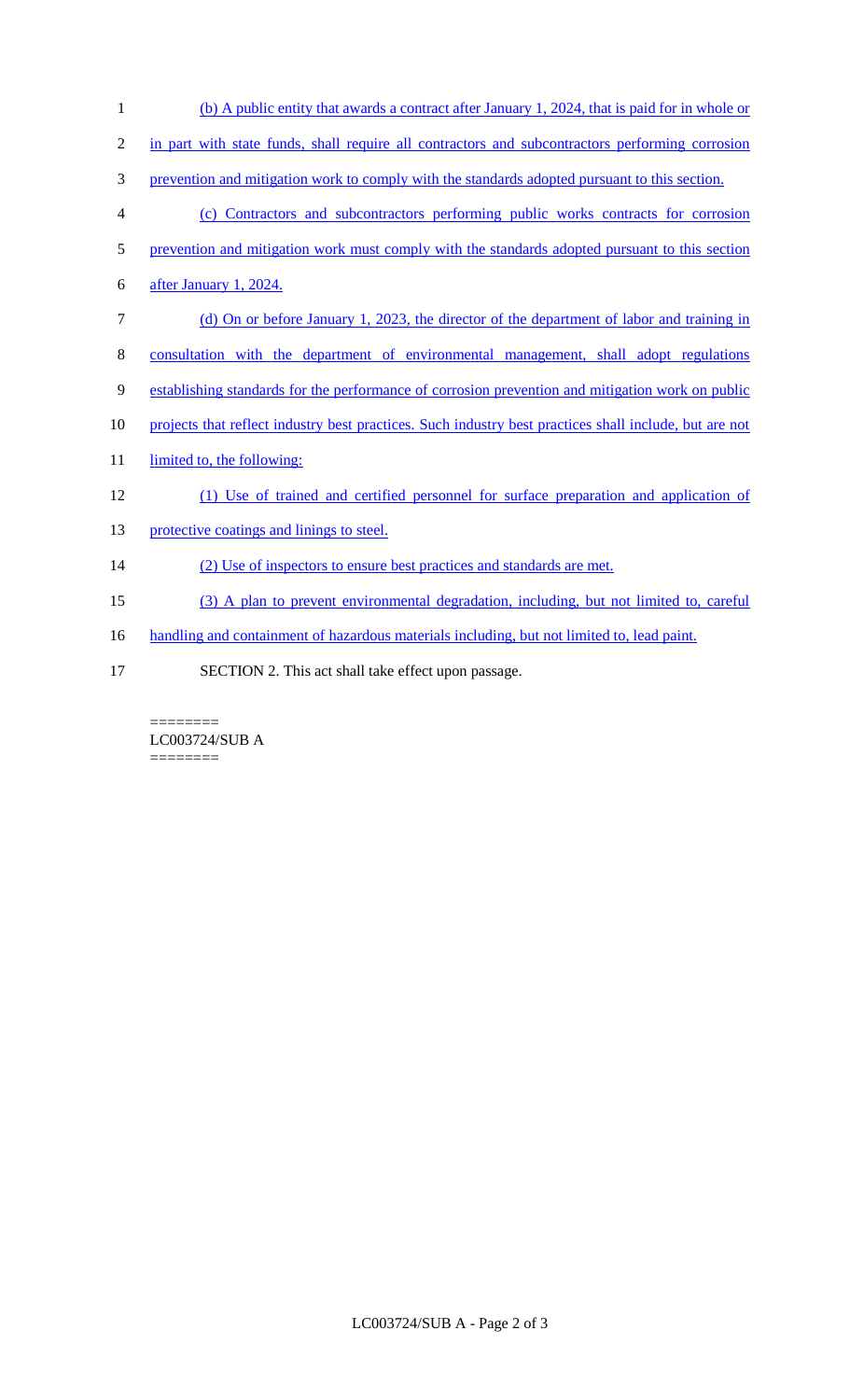| 1              | (b) A public entity that awards a contract after January 1, 2024, that is paid for in whole or         |
|----------------|--------------------------------------------------------------------------------------------------------|
| $\overline{2}$ | in part with state funds, shall require all contractors and subcontractors performing corrosion        |
| 3              | prevention and mitigation work to comply with the standards adopted pursuant to this section.          |
| 4              | (c) Contractors and subcontractors performing public works contracts for corrosion                     |
| 5              | prevention and mitigation work must comply with the standards adopted pursuant to this section         |
| 6              | after January 1, 2024.                                                                                 |
| 7              | (d) On or before January 1, 2023, the director of the department of labor and training in              |
| 8              | consultation with the department of environmental management, shall adopt regulations                  |
| 9              | establishing standards for the performance of corrosion prevention and mitigation work on public       |
| 10             | projects that reflect industry best practices. Such industry best practices shall include, but are not |
| 11             | limited to, the following:                                                                             |
| 12             | (1) Use of trained and certified personnel for surface preparation and application of                  |
| 13             | protective coatings and linings to steel.                                                              |
| 14             | (2) Use of inspectors to ensure best practices and standards are met.                                  |
| 15             | (3) A plan to prevent environmental degradation, including, but not limited to, careful                |
| 16             | handling and containment of hazardous materials including, but not limited to, lead paint.             |
| 17             | SECTION 2. This act shall take effect upon passage.                                                    |

 $=$ LC003724/SUB A ========